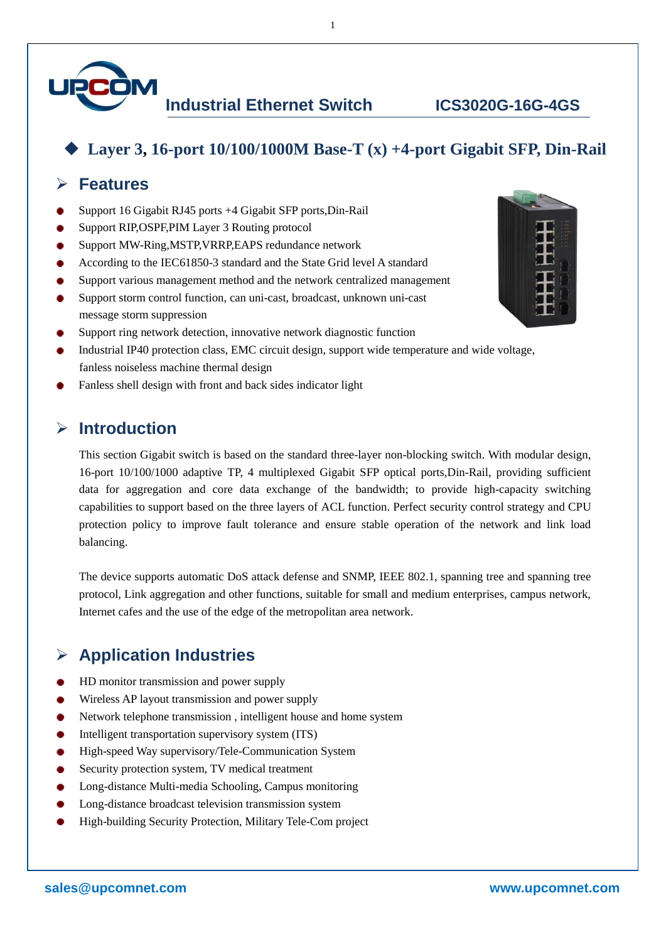

# ◆ **Layer 3, 16-port 10/100/1000M Base-T (x) +4-port Gigabit SFP, Din-Rail**

1

### ➢ **Features**

- Support 16 Gigabit RJ45 ports +4 Gigabit SFP ports,Din-Rail
- Support RIP,OSPF,PIM Layer 3 Routing protocol
- Support MW-Ring,MSTP,VRRP,EAPS redundance network
- According to the IEC61850-3 standard and the State Grid level A standard
- Support various management method and the network centralized management
- Support storm control function, can uni-cast, broadcast, unknown uni-cast message storm suppression
- Support ring network detection, innovative network diagnostic function
- Industrial IP40 protection class, EMC circuit design, support wide temperature and wide voltage, fanless noiseless machine thermal design
- Fanless shell design with front and back sides indicator light

#### ➢ **Introduction**

This section Gigabit switch is based on the standard three-layer non-blocking switch. With modular design, 16-port 10/100/1000 adaptive TP, 4 multiplexed Gigabit SFP optical ports,Din-Rail, providing sufficient data for aggregation and core data exchange of the bandwidth; to provide high-capacity switching capabilities to support based on the three layers of ACL function. Perfect security control strategy and CPU protection policy to improve fault tolerance and ensure stable operation of the network and link load balancing.

The device supports automatic DoS attack defense and SNMP, IEEE 802.1, spanning tree and spanning tree protocol, Link aggregation and other functions, suitable for small and medium enterprises, campus network, Internet cafes and the use of the edge of the metropolitan area network.

# ➢ **Application Industries**

- HD monitor transmission and power supply
- Wireless AP layout transmission and power supply
- Network telephone transmission , intelligent house and home system
- Intelligent transportation supervisory system (ITS)
- High-speed Way supervisory/Tele-Communication System
- Security protection system, TV medical treatment
- Long-distance Multi-media Schooling, Campus monitoring
- Long-distance broadcast television transmission system
- High-building Security Protection, Military Tele-Com project

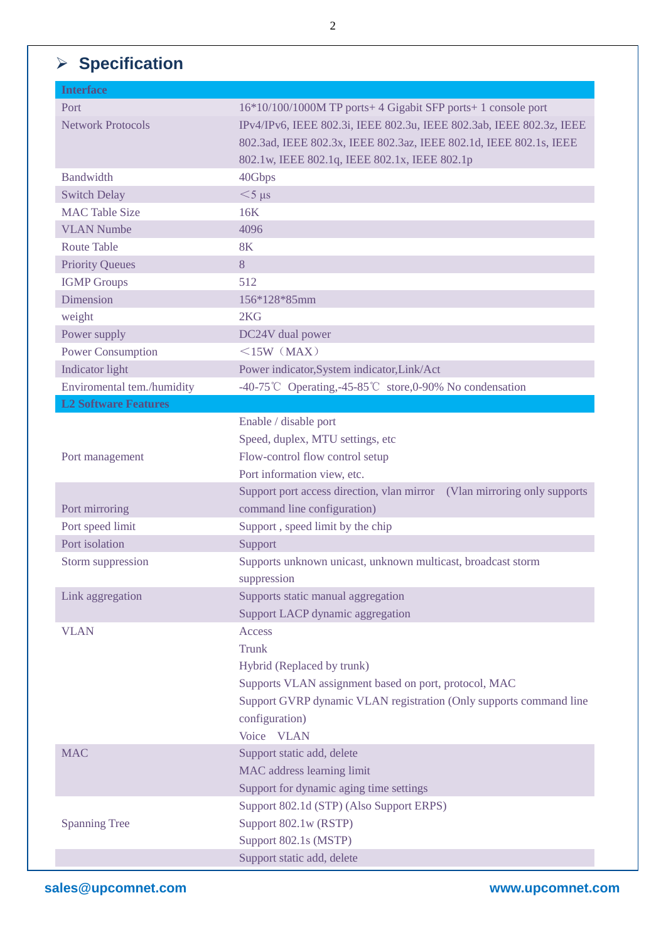# ➢ **Specification**

| <b>Interface</b>            |                                                                          |
|-----------------------------|--------------------------------------------------------------------------|
| Port                        | 16*10/100/1000M TP ports+4 Gigabit SFP ports+1 console port              |
| <b>Network Protocols</b>    | IPv4/IPv6, IEEE 802.3i, IEEE 802.3u, IEEE 802.3ab, IEEE 802.3z, IEEE     |
|                             | 802.3ad, IEEE 802.3x, IEEE 802.3az, IEEE 802.1d, IEEE 802.1s, IEEE       |
|                             | 802.1w, IEEE 802.1q, IEEE 802.1x, IEEE 802.1p                            |
| <b>Bandwidth</b>            | 40Gbps                                                                   |
| <b>Switch Delay</b>         | $<$ 5 $\mu$ s                                                            |
| <b>MAC Table Size</b>       | 16K                                                                      |
| <b>VLAN Numbe</b>           | 4096                                                                     |
| <b>Route Table</b>          | <b>8K</b>                                                                |
| <b>Priority Queues</b>      | 8                                                                        |
| <b>IGMP</b> Groups          | 512                                                                      |
| Dimension                   | 156*128*85mm                                                             |
| weight                      | 2KG                                                                      |
| Power supply                | DC24V dual power                                                         |
| <b>Power Consumption</b>    | $\leq$ 15W (MAX)                                                         |
| Indicator light             | Power indicator, System indicator, Link/Act                              |
| Enviromental tem./humidity  | -40-75℃ Operating,-45-85℃ store,0-90% No condensation                    |
| <b>L2 Software Features</b> |                                                                          |
|                             | Enable / disable port                                                    |
|                             | Speed, duplex, MTU settings, etc                                         |
| Port management             | Flow-control flow control setup                                          |
|                             | Port information view, etc.                                              |
|                             | Support port access direction, vlan mirror (Vlan mirroring only supports |
| Port mirroring              | command line configuration)                                              |
| Port speed limit            | Support, speed limit by the chip                                         |
| Port isolation              | Support                                                                  |
| Storm suppression           | Supports unknown unicast, unknown multicast, broadcast storm             |
|                             | suppression                                                              |
| Link aggregation            | Supports static manual aggregation                                       |
|                             | Support LACP dynamic aggregation                                         |
| <b>VLAN</b>                 | Access                                                                   |
|                             | <b>Trunk</b>                                                             |
|                             | Hybrid (Replaced by trunk)                                               |
|                             | Supports VLAN assignment based on port, protocol, MAC                    |
|                             | Support GVRP dynamic VLAN registration (Only supports command line       |
|                             | configuration)                                                           |
|                             | Voice VLAN                                                               |
| <b>MAC</b>                  | Support static add, delete                                               |
|                             | MAC address learning limit                                               |
|                             | Support for dynamic aging time settings                                  |
|                             | Support 802.1d (STP) (Also Support ERPS)                                 |
|                             | Support 802.1w (RSTP)                                                    |
| <b>Spanning Tree</b>        |                                                                          |
|                             | Support 802.1s (MSTP)                                                    |
|                             | Support static add, delete                                               |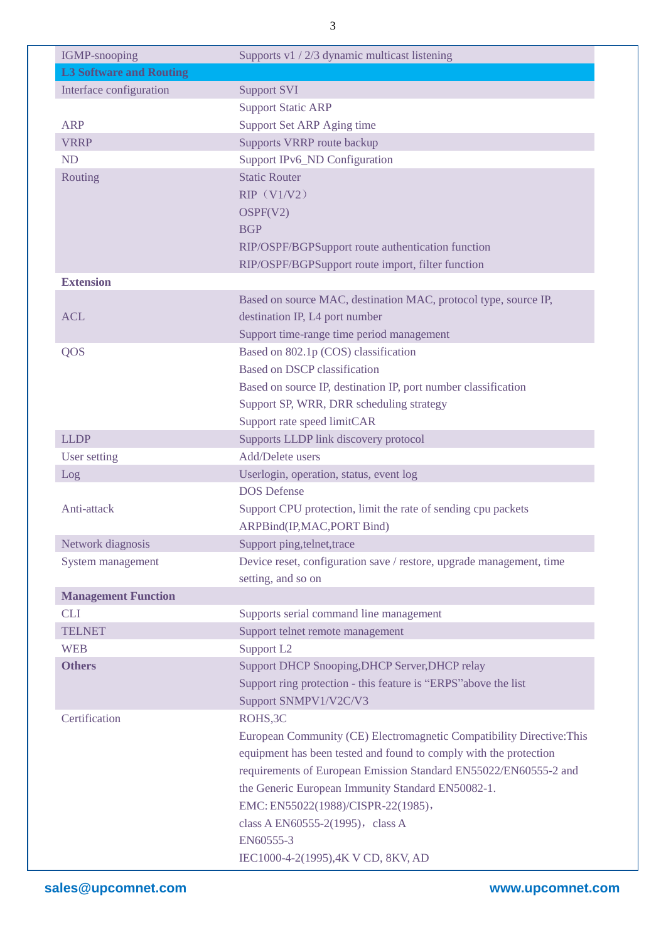| <b>IGMP-snooping</b>           | Supports v1 / 2/3 dynamic multicast listening                         |
|--------------------------------|-----------------------------------------------------------------------|
| <b>L3 Software and Routing</b> |                                                                       |
| Interface configuration        | <b>Support SVI</b>                                                    |
|                                | <b>Support Static ARP</b>                                             |
| <b>ARP</b>                     | Support Set ARP Aging time                                            |
| <b>VRRP</b>                    | Supports VRRP route backup                                            |
| <b>ND</b>                      | <b>Support IPv6_ND Configuration</b>                                  |
| Routing                        | <b>Static Router</b>                                                  |
|                                | RIP (V1/V2)                                                           |
|                                | OSPF(V2)                                                              |
|                                | <b>BGP</b>                                                            |
|                                | RIP/OSPF/BGPSupport route authentication function                     |
|                                | RIP/OSPF/BGPSupport route import, filter function                     |
| <b>Extension</b>               |                                                                       |
|                                | Based on source MAC, destination MAC, protocol type, source IP,       |
| <b>ACL</b>                     | destination IP, L4 port number                                        |
|                                | Support time-range time period management                             |
| QOS                            | Based on 802.1p (COS) classification                                  |
|                                | <b>Based on DSCP classification</b>                                   |
|                                |                                                                       |
|                                | Based on source IP, destination IP, port number classification        |
|                                | Support SP, WRR, DRR scheduling strategy                              |
| <b>LLDP</b>                    | Support rate speed limitCAR                                           |
|                                | Supports LLDP link discovery protocol<br>Add/Delete users             |
| <b>User setting</b>            | Userlogin, operation, status, event log                               |
| Log                            | <b>DOS</b> Defense                                                    |
| Anti-attack                    | Support CPU protection, limit the rate of sending cpu packets         |
|                                | ARPBind(IP,MAC,PORT Bind)                                             |
| Network diagnosis              | Support ping, telnet, trace                                           |
|                                |                                                                       |
| System management              | Device reset, configuration save / restore, upgrade management, time  |
|                                | setting, and so on                                                    |
| <b>Management Function</b>     |                                                                       |
| <b>CLI</b>                     | Supports serial command line management                               |
| <b>TELNET</b>                  | Support telnet remote management                                      |
| <b>WEB</b>                     | Support L <sub>2</sub>                                                |
| <b>Others</b>                  | Support DHCP Snooping, DHCP Server, DHCP relay                        |
|                                | Support ring protection - this feature is "ERPS" above the list       |
|                                | Support SNMPV1/V2C/V3                                                 |
| Certification                  | ROHS, 3C                                                              |
|                                | European Community (CE) Electromagnetic Compatibility Directive: This |
|                                | equipment has been tested and found to comply with the protection     |
|                                | requirements of European Emission Standard EN55022/EN60555-2 and      |
|                                | the Generic European Immunity Standard EN50082-1.                     |
|                                | EMC: EN55022(1988)/CISPR-22(1985),                                    |
|                                | class A EN60555-2(1995), class A                                      |
|                                | EN60555-3                                                             |
|                                | IEC1000-4-2(1995),4K V CD, 8KV, AD                                    |